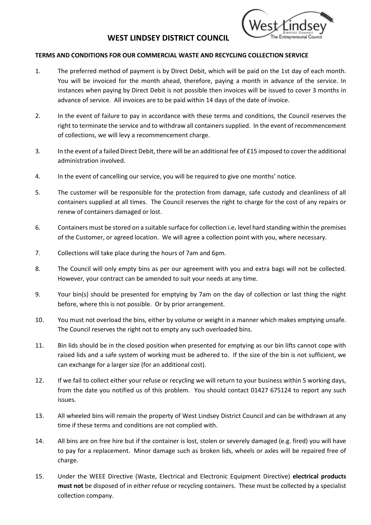## **WEST LINDSEY DISTRICT COUNCIL**



## **TERMS AND CONDITIONS FOR OUR COMMERCIAL WASTE AND RECYCLING COLLECTION SERVICE**

- 1. The preferred method of payment is by Direct Debit, which will be paid on the 1st day of each month. You will be invoiced for the month ahead, therefore, paying a month in advance of the service. In instances when paying by Direct Debit is not possible then invoices will be issued to cover 3 months in advance of service. All invoices are to be paid within 14 days of the date of invoice.
- 2. In the event of failure to pay in accordance with these terms and conditions, the Council reserves the right to terminate the service and to withdraw all containers supplied. In the event of recommencement of collections, we will levy a recommencement charge.
- 3. In the event of a failed Direct Debit, there will be an additional fee of £15 imposed to cover the additional administration involved.
- 4. In the event of cancelling our service, you will be required to give one months' notice.
- 5. The customer will be responsible for the protection from damage, safe custody and cleanliness of all containers supplied at all times. The Council reserves the right to charge for the cost of any repairs or renew of containers damaged or lost.
- 6. Containers must be stored on a suitable surface for collection i.e**.** level hard standing within the premises of the Customer, or agreed location. We will agree a collection point with you, where necessary.
- 7. Collections will take place during the hours of 7am and 6pm.
- 8. The Council will only empty bins as per our agreement with you and extra bags will not be collected. However, your contract can be amended to suit your needs at any time.
- 9. Your bin(s) should be presented for emptying by 7am on the day of collection or last thing the night before, where this is not possible. Or by prior arrangement.
- 10. You must not overload the bins, either by volume or weight in a manner which makes emptying unsafe. The Council reserves the right not to empty any such overloaded bins.
- 11. Bin lids should be in the closed position when presented for emptying as our bin lifts cannot cope with raised lids and a safe system of working must be adhered to. If the size of the bin is not sufficient, we can exchange for a larger size (for an additional cost).
- 12. If we fail to collect either your refuse or recycling we will return to your business within 5 working days, from the date you notified us of this problem. You should contact 01427 675124 to report any such issues.
- 13. All wheeled bins will remain the property of West Lindsey District Council and can be withdrawn at any time if these terms and conditions are not complied with.
- 14. All bins are on free hire but if the container is lost, stolen or severely damaged (e.g. fired) you will have to pay for a replacement. Minor damage such as broken lids, wheels or axles will be repaired free of charge.
- 15. Under the WEEE Directive (Waste, Electrical and Electronic Equipment Directive) **electrical products must not** be disposed of in either refuse or recycling containers. These must be collected by a specialist collection company.